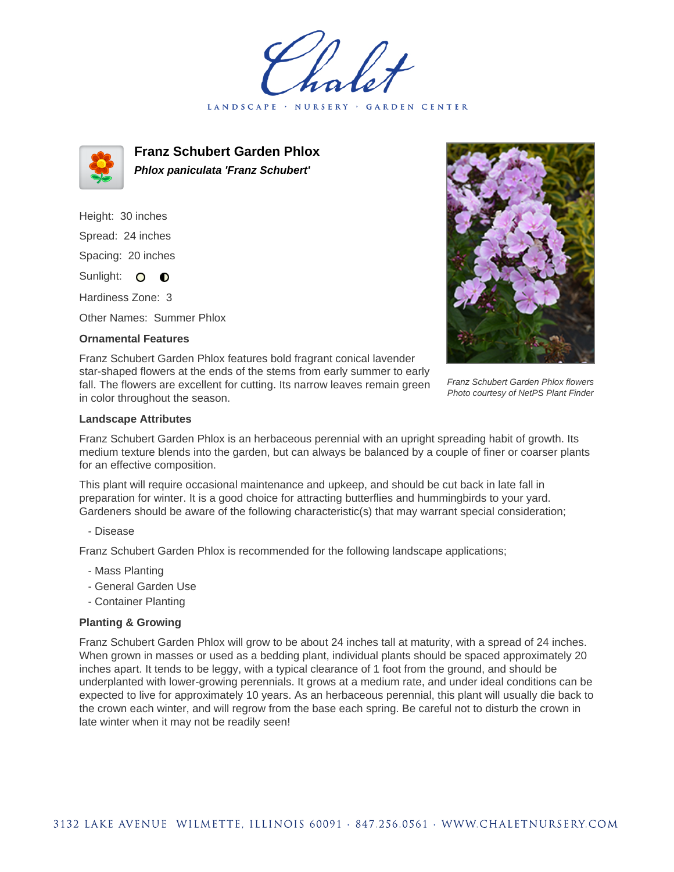LANDSCAPE · NURSERY · GARDEN CENTER



**Franz Schubert Garden Phlox Phlox paniculata 'Franz Schubert'**

Height: 30 inches Spread: 24 inches Spacing: 20 inches Sunlight: O **O** 

Hardiness Zone: 3

Other Names: Summer Phlox

## **Ornamental Features**

Franz Schubert Garden Phlox features bold fragrant conical lavender star-shaped flowers at the ends of the stems from early summer to early fall. The flowers are excellent for cutting. Its narrow leaves remain green in color throughout the season.

Franz Schubert Garden Phlox flowers Photo courtesy of NetPS Plant Finder

## **Landscape Attributes**

Franz Schubert Garden Phlox is an herbaceous perennial with an upright spreading habit of growth. Its medium texture blends into the garden, but can always be balanced by a couple of finer or coarser plants for an effective composition.

This plant will require occasional maintenance and upkeep, and should be cut back in late fall in preparation for winter. It is a good choice for attracting butterflies and hummingbirds to your yard. Gardeners should be aware of the following characteristic(s) that may warrant special consideration;

- Disease

Franz Schubert Garden Phlox is recommended for the following landscape applications;

- Mass Planting
- General Garden Use
- Container Planting

## **Planting & Growing**

Franz Schubert Garden Phlox will grow to be about 24 inches tall at maturity, with a spread of 24 inches. When grown in masses or used as a bedding plant, individual plants should be spaced approximately 20 inches apart. It tends to be leggy, with a typical clearance of 1 foot from the ground, and should be underplanted with lower-growing perennials. It grows at a medium rate, and under ideal conditions can be expected to live for approximately 10 years. As an herbaceous perennial, this plant will usually die back to the crown each winter, and will regrow from the base each spring. Be careful not to disturb the crown in late winter when it may not be readily seen!